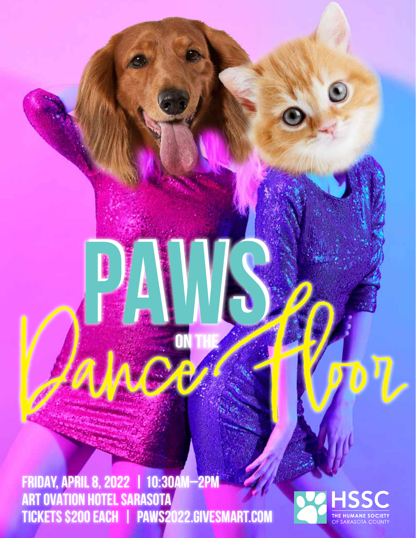**FRIDAY, APRIL 8, 2022 | 10:30am–2pm ART OVATION HOTEL SARASOTA TICKETS \$200 EACH | paws2022.givesmart.com**

**ON THE** 

**PAWS**

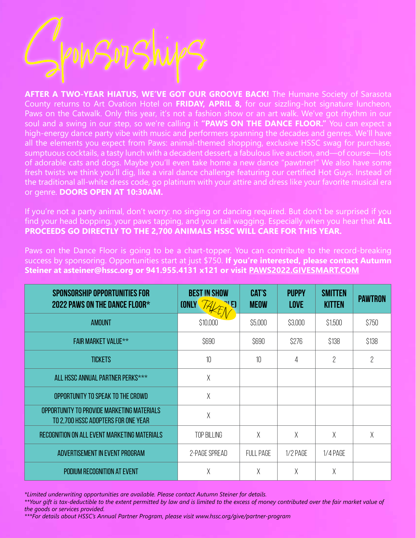

**AFTER A TWO-YEAR HIATUS, WE'VE GOT OUR GROOVE BACK!** The Humane Society of Sarasota County returns to Art Ovation Hotel on **FRIDAY, APRIL 8,** for our sizzling-hot signature luncheon, Paws on the Catwalk. Only this year, it's not a fashion show or an art walk. We've got rhythm in our soul and a swing in our step, so we're calling it **"PAWS ON THE DANCE FLOOR."** You can expect a high-energy dance party vibe with music and performers spanning the decades and genres. We'll have all the elements you expect from Paws: animal-themed shopping, exclusive HSSC swag for purchase, sumptuous cocktails, a tasty lunch with a decadent dessert, a fabulous live auction, and—of course—lots of adorable cats and dogs. Maybe you'll even take home a new dance "pawtner!" We also have some fresh twists we think you'll dig, like a viral dance challenge featuring our certified Hot Guys. Instead of the traditional all-white dress code, go platinum with your attire and dress like your favorite musical era or genre. **DOORS OPEN AT 10:30AM.**

If you're not a party animal, don't worry: no singing or dancing required. But don't be surprised if you find your head bopping, your paws tapping, and your tail wagging. Especially when you hear that **ALL PROCEEDS GO DIRECTLY TO THE 2,700 ANIMALS HSSC WILL CARE FOR THIS YEAR.** 

| <b>SPONSORSHIP OPPORTUNITIES FOR</b><br>2022 PAWS ON THE DANCE FLOOR*             | <b>BEST IN SHOW</b><br><b>CONLY</b> | <b>CAT'S</b><br><b>MEOW</b> | <b>PUPPY</b><br><b>LOVE</b> | <b>SMITTEN</b><br><b>KITTEN</b> | <b>PAWTRON</b> |
|-----------------------------------------------------------------------------------|-------------------------------------|-----------------------------|-----------------------------|---------------------------------|----------------|
| <b>AMOUNT</b>                                                                     | \$10,000                            | \$5,000                     | \$3,000                     | \$1,500                         | \$750          |
| <b>FAIR MARKET VALUE**</b>                                                        | \$690                               | \$690                       | \$276                       | \$138                           | \$138          |
| <b>TICKETS</b>                                                                    | 10                                  | 10                          | 4                           | $\overline{2}$                  | $\overline{2}$ |
| ALL HSSC ANNUAL PARTNER PERKS***                                                  | X                                   |                             |                             |                                 |                |
| OPPORTUNITY TO SPEAK TO THE CROWD                                                 | $\chi$                              |                             |                             |                                 |                |
| OPPORTUNITY TO PROVIDE MARKETING MATERIALS<br>TO 2,700 HSSC ADOPTERS FOR ONE YEAR | X                                   |                             |                             |                                 |                |
| RECOGNITION ON ALL EVENT MARKETING MATERIALS                                      | <b>TOP BILLING</b>                  | X                           | X                           | Χ                               | X              |
| ADVERTISEMENT IN EVENT PROGRAM                                                    | 2-PAGE SPREAD                       | <b>FULL PAGE</b>            | 1/2 PAGE                    | 1/4 PAGE                        |                |
| PODIUM RECOGNITION AT EVENT                                                       | X                                   | X                           | X                           | X                               |                |

Paws on the Dance Floor is going to be a chart-topper. You can contribute to the record-breaking success by sponsoring. Opportunities start at just \$750. **If you're interested, please contact Autumn Steiner at asteiner@hssc.org or 941.955.4131 x121 or visit PAWS2022.GIVESMART.COM**

*\*Limited underwriting opportunities are available. Please contact Autumn Steiner for details.*

*\*\*Your gift is tax-deductible to the extent permitted by law and is limited to the excess of money contributed over the fair market value of the goods or services provided.*

*\*\*\*For details about HSSC's Annual Partner Program, please visit www.hssc.org/give/partner-program*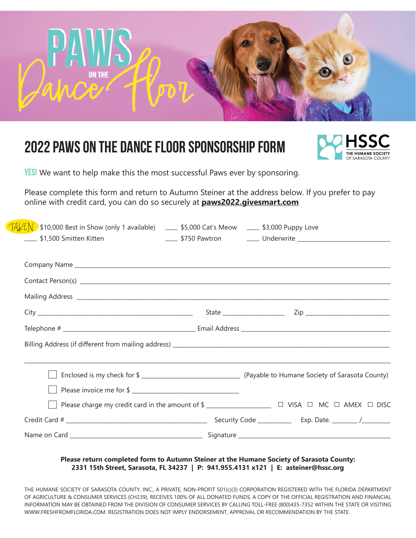

## **2022 paws on the dance floor sponsorship form**



**YES!** We want to help make this the most successful Paws ever by sponsoring.

Please complete this form and return to Autumn Steiner at the address below. If you prefer to pay online with credit card, you can do so securely at **paws2022.givesmart.com**

| $\mathsf{EN}$ \$10,000 Best in Show (only 1 available) $\quad \_ \_ \$ \$5,000 Cat's Meow $\quad \_ \_ \$ \$3,000 Puppy Love |  |                                                             |  |  |
|------------------------------------------------------------------------------------------------------------------------------|--|-------------------------------------------------------------|--|--|
|                                                                                                                              |  |                                                             |  |  |
|                                                                                                                              |  |                                                             |  |  |
|                                                                                                                              |  |                                                             |  |  |
|                                                                                                                              |  |                                                             |  |  |
|                                                                                                                              |  |                                                             |  |  |
|                                                                                                                              |  |                                                             |  |  |
|                                                                                                                              |  |                                                             |  |  |
|                                                                                                                              |  |                                                             |  |  |
|                                                                                                                              |  |                                                             |  |  |
|                                                                                                                              |  | Enclosed is my check for \$                                 |  |  |
|                                                                                                                              |  |                                                             |  |  |
|                                                                                                                              |  | Please charge my credit card in the amount of $\$\_$ $\$\_$ |  |  |
|                                                                                                                              |  |                                                             |  |  |
|                                                                                                                              |  |                                                             |  |  |

#### **Please return completed form to Autumn Steiner at the Humane Society of Sarasota County: 2331 15th Street, Sarasota, FL 34237 | P: 941.955.4131 x121 | E: asteiner@hssc.org**

THE HUMANE SOCIETY OF SARASOTA COUNTY, INC., A PRIVATE, NON-PROFIT 501(c)(3) CORPORATION REGISTERED WITH THE FLORIDA DEPARTMENT OF AGRICULTURE & CONSUMER SERVICES (CH239), RECEIVES 100% OF ALL DONATED FUNDS. A COPY OF THE OFFICIAL REGISTRATION AND FINANCIAL INFORMATION MAY BE OBTAINED FROM THE DIVISION OF CONSUMER SERVICES BY CALLING TOLL-FREE (800)435-7352 WITHIN THE STATE OR VISITING WWW.FRESHFROMFLORIDA.COM. REGISTRATION DOES NOT IMPLY ENDORSEMENT, APPROVAL OR RECOMMENDATION BY THE STATE.